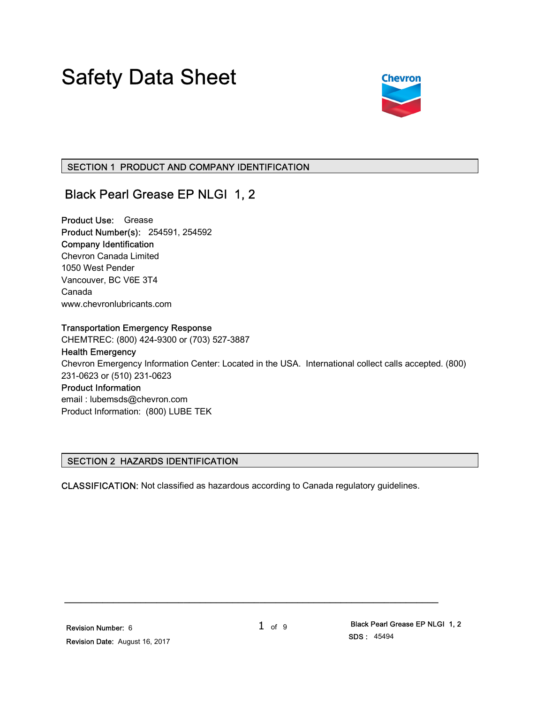# Safety Data Sheet



# SECTION 1 PRODUCT AND COMPANY IDENTIFICATION

# Black Pearl Grease EP NLGI 1, 2

Product Use: Grease Product Number(s): 254591, 254592 Company Identification Chevron Canada Limited 1050 West Pender Vancouver, BC V6E 3T4 Canada www.chevronlubricants.com

#### Transportation Emergency Response

CHEMTREC: (800) 424-9300 or (703) 527-3887

Health Emergency Chevron Emergency Information Center: Located in the USA. International collect calls accepted. (800) 231-0623 or (510) 231-0623 Product Information

email : lubemsds@chevron.com Product Information: (800) LUBE TEK

# SECTION 2 HAZARDS IDENTIFICATION

CLASSIFICATION: Not classified as hazardous according to Canada regulatory guidelines.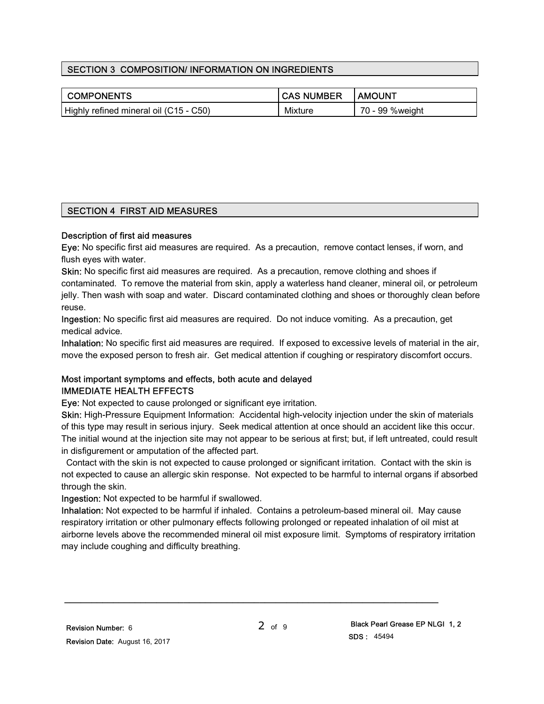# SECTION 3 COMPOSITION/ INFORMATION ON INGREDIENTS

| <b>COMPONENTS</b>                      | I CAS NUMBER   | <b>AMOUNT</b>   |
|----------------------------------------|----------------|-----------------|
| Highly refined mineral oil (C15 - C50) | <b>Mixture</b> | 70 - 99 %weight |

# SECTION 4 FIRST AID MEASURES

#### Description of first aid measures

Eye: No specific first aid measures are required. As a precaution, remove contact lenses, if worn, and flush eyes with water.

Skin: No specific first aid measures are required. As a precaution, remove clothing and shoes if contaminated. To remove the material from skin, apply a waterless hand cleaner, mineral oil, or petroleum jelly. Then wash with soap and water. Discard contaminated clothing and shoes or thoroughly clean before reuse.

Ingestion: No specific first aid measures are required. Do not induce vomiting. As a precaution, get medical advice.

Inhalation: No specific first aid measures are required. If exposed to excessive levels of material in the air, move the exposed person to fresh air. Get medical attention if coughing or respiratory discomfort occurs.

# Most important symptoms and effects, both acute and delayed IMMEDIATE HEALTH EFFECTS

Eye: Not expected to cause prolonged or significant eye irritation.

Skin: High-Pressure Equipment Information: Accidental high-velocity injection under the skin of materials of this type may result in serious injury. Seek medical attention at once should an accident like this occur. The initial wound at the injection site may not appear to be serious at first; but, if left untreated, could result in disfigurement or amputation of the affected part.

 Contact with the skin is not expected to cause prolonged or significant irritation. Contact with the skin is not expected to cause an allergic skin response. Not expected to be harmful to internal organs if absorbed through the skin.

Ingestion: Not expected to be harmful if swallowed.

Inhalation: Not expected to be harmful if inhaled. Contains a petroleum-based mineral oil. May cause respiratory irritation or other pulmonary effects following prolonged or repeated inhalation of oil mist at airborne levels above the recommended mineral oil mist exposure limit. Symptoms of respiratory irritation may include coughing and difficulty breathing.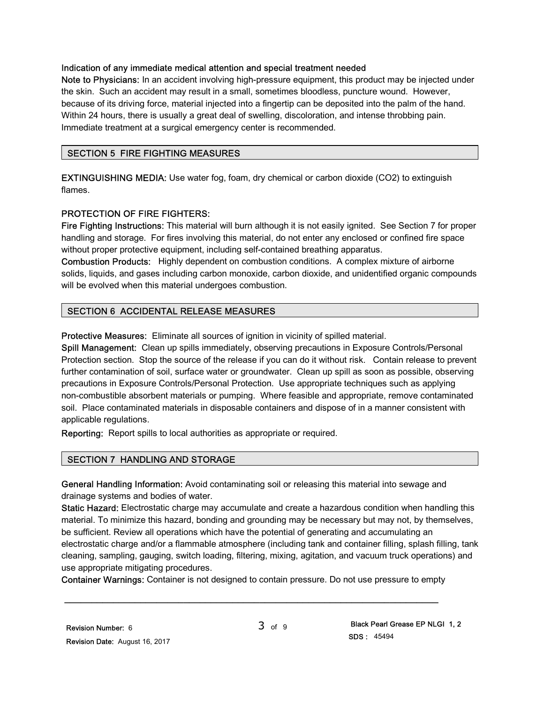#### Indication of any immediate medical attention and special treatment needed

Note to Physicians: In an accident involving high-pressure equipment, this product may be injected under the skin. Such an accident may result in a small, sometimes bloodless, puncture wound. However, because of its driving force, material injected into a fingertip can be deposited into the palm of the hand. Within 24 hours, there is usually a great deal of swelling, discoloration, and intense throbbing pain. Immediate treatment at a surgical emergency center is recommended.

# SECTION 5 FIRE FIGHTING MEASURES

EXTINGUISHING MEDIA: Use water fog, foam, dry chemical or carbon dioxide (CO2) to extinguish flames.

# PROTECTION OF FIRE FIGHTERS:

Fire Fighting Instructions: This material will burn although it is not easily ignited. See Section 7 for proper handling and storage. For fires involving this material, do not enter any enclosed or confined fire space without proper protective equipment, including self-contained breathing apparatus.

Combustion Products: Highly dependent on combustion conditions. A complex mixture of airborne solids, liquids, and gases including carbon monoxide, carbon dioxide, and unidentified organic compounds will be evolved when this material undergoes combustion.

# SECTION 6 ACCIDENTAL RELEASE MEASURES

Protective Measures: Eliminate all sources of ignition in vicinity of spilled material.

Spill Management: Clean up spills immediately, observing precautions in Exposure Controls/Personal Protection section. Stop the source of the release if you can do it without risk. Contain release to prevent further contamination of soil, surface water or groundwater. Clean up spill as soon as possible, observing precautions in Exposure Controls/Personal Protection. Use appropriate techniques such as applying non-combustible absorbent materials or pumping. Where feasible and appropriate, remove contaminated soil. Place contaminated materials in disposable containers and dispose of in a manner consistent with applicable regulations.

Reporting: Report spills to local authorities as appropriate or required.

# SECTION 7 HANDLING AND STORAGE

General Handling Information: Avoid contaminating soil or releasing this material into sewage and drainage systems and bodies of water.

Static Hazard: Electrostatic charge may accumulate and create a hazardous condition when handling this material. To minimize this hazard, bonding and grounding may be necessary but may not, by themselves, be sufficient. Review all operations which have the potential of generating and accumulating an electrostatic charge and/or a flammable atmosphere (including tank and container filling, splash filling, tank cleaning, sampling, gauging, switch loading, filtering, mixing, agitation, and vacuum truck operations) and use appropriate mitigating procedures.

Container Warnings: Container is not designed to contain pressure. Do not use pressure to empty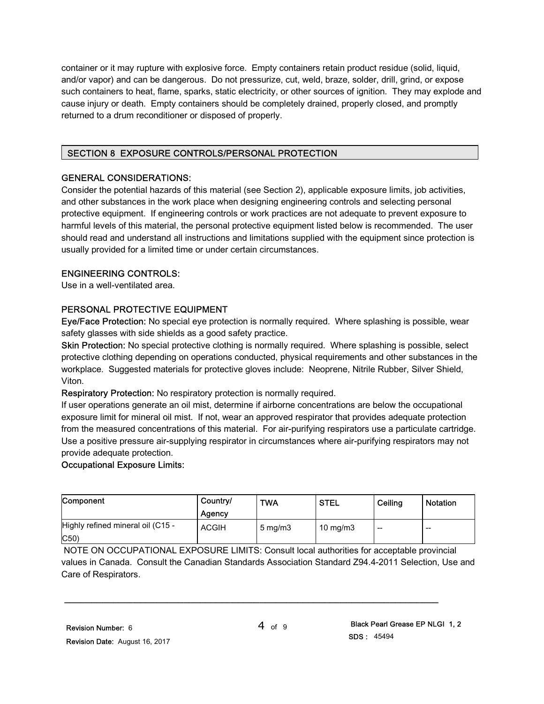container or it may rupture with explosive force. Empty containers retain product residue (solid, liquid, and/or vapor) and can be dangerous. Do not pressurize, cut, weld, braze, solder, drill, grind, or expose such containers to heat, flame, sparks, static electricity, or other sources of ignition. They may explode and cause injury or death. Empty containers should be completely drained, properly closed, and promptly returned to a drum reconditioner or disposed of properly.

# SECTION 8 EXPOSURE CONTROLS/PERSONAL PROTECTION

# GENERAL CONSIDERATIONS:

Consider the potential hazards of this material (see Section 2), applicable exposure limits, job activities, and other substances in the work place when designing engineering controls and selecting personal protective equipment. If engineering controls or work practices are not adequate to prevent exposure to harmful levels of this material, the personal protective equipment listed below is recommended. The user should read and understand all instructions and limitations supplied with the equipment since protection is usually provided for a limited time or under certain circumstances.

# ENGINEERING CONTROLS:

Use in a well-ventilated area.

# PERSONAL PROTECTIVE EQUIPMENT

Eye/Face Protection: No special eye protection is normally required. Where splashing is possible, wear safety glasses with side shields as a good safety practice.

Skin Protection: No special protective clothing is normally required. Where splashing is possible, select protective clothing depending on operations conducted, physical requirements and other substances in the workplace. Suggested materials for protective gloves include: Neoprene, Nitrile Rubber, Silver Shield, Viton.

Respiratory Protection: No respiratory protection is normally required.

If user operations generate an oil mist, determine if airborne concentrations are below the occupational exposure limit for mineral oil mist. If not, wear an approved respirator that provides adequate protection from the measured concentrations of this material. For air-purifying respirators use a particulate cartridge. Use a positive pressure air-supplying respirator in circumstances where air-purifying respirators may not provide adequate protection.

# Occupational Exposure Limits:

| Component                                          | Country/<br>Agency | <b>TWA</b>       | <b>STEL</b> | Ceiling | <b>Notation</b> |
|----------------------------------------------------|--------------------|------------------|-------------|---------|-----------------|
| Highly refined mineral oil (C15 -<br>$ C50\rangle$ | <b>ACGIH</b>       | $5 \text{ mg/m}$ | 10 mg/m $3$ | $- -$   | $- -$           |

 NOTE ON OCCUPATIONAL EXPOSURE LIMITS: Consult local authorities for acceptable provincial values in Canada. Consult the Canadian Standards Association Standard Z94.4-2011 Selection, Use and Care of Respirators.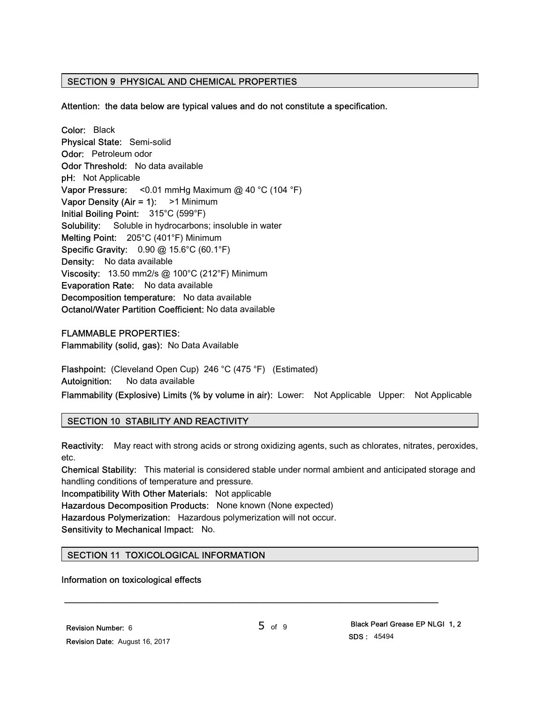# SECTION 9 PHYSICAL AND CHEMICAL PROPERTIES

Attention: the data below are typical values and do not constitute a specification.

Color: Black Physical State: Semi-solid Odor: Petroleum odor Odor Threshold: No data available pH: Not Applicable **Vapor Pressure:** <0.01 mmHg Maximum @ 40 °C (104 °F) Vapor Density (Air = 1): > 1 Minimum Initial Boiling Point: 315°C (599°F) Solubility: Soluble in hydrocarbons; insoluble in water Melting Point: 205°C (401°F) Minimum Specific Gravity: 0.90 @ 15.6°C (60.1°F) Density: No data available Viscosity: 13.50 mm2/s @ 100°C (212°F) Minimum Evaporation Rate: No data available Decomposition temperature: No data available Octanol/Water Partition Coefficient: No data available

#### FLAMMABLE PROPERTIES:

Flammability (solid, gas): No Data Available

Flashpoint: (Cleveland Open Cup) 246 °C (475 °F) (Estimated) Autoignition: No data available

Flammability (Explosive) Limits (% by volume in air): Lower: Not Applicable Upper: Not Applicable

#### SECTION 10 STABILITY AND REACTIVITY

Reactivity: May react with strong acids or strong oxidizing agents, such as chlorates, nitrates, peroxides, etc.

Chemical Stability: This material is considered stable under normal ambient and anticipated storage and handling conditions of temperature and pressure.

Incompatibility With Other Materials: Not applicable

Hazardous Decomposition Products: None known (None expected)

Hazardous Polymerization: Hazardous polymerization will not occur.

Sensitivity to Mechanical Impact: No.

# SECTION 11 TOXICOLOGICAL INFORMATION

#### Information on toxicological effects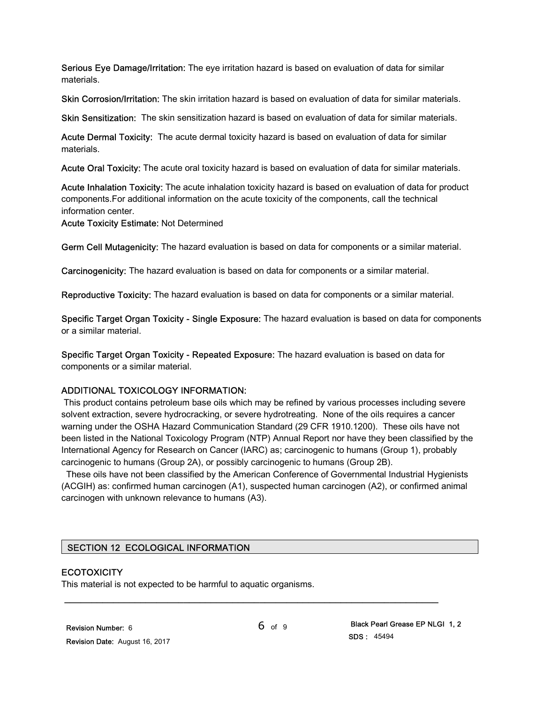Serious Eye Damage/Irritation: The eye irritation hazard is based on evaluation of data for similar materials.

Skin Corrosion/Irritation: The skin irritation hazard is based on evaluation of data for similar materials.

Skin Sensitization: The skin sensitization hazard is based on evaluation of data for similar materials.

Acute Dermal Toxicity: The acute dermal toxicity hazard is based on evaluation of data for similar materials.

Acute Oral Toxicity: The acute oral toxicity hazard is based on evaluation of data for similar materials.

Acute Inhalation Toxicity: The acute inhalation toxicity hazard is based on evaluation of data for product components.For additional information on the acute toxicity of the components, call the technical information center.

Acute Toxicity Estimate: Not Determined

Germ Cell Mutagenicity: The hazard evaluation is based on data for components or a similar material.

Carcinogenicity: The hazard evaluation is based on data for components or a similar material.

Reproductive Toxicity: The hazard evaluation is based on data for components or a similar material.

Specific Target Organ Toxicity - Single Exposure: The hazard evaluation is based on data for components or a similar material.

Specific Target Organ Toxicity - Repeated Exposure: The hazard evaluation is based on data for components or a similar material.

#### ADDITIONAL TOXICOLOGY INFORMATION:

 This product contains petroleum base oils which may be refined by various processes including severe solvent extraction, severe hydrocracking, or severe hydrotreating. None of the oils requires a cancer warning under the OSHA Hazard Communication Standard (29 CFR 1910.1200). These oils have not been listed in the National Toxicology Program (NTP) Annual Report nor have they been classified by the International Agency for Research on Cancer (IARC) as; carcinogenic to humans (Group 1), probably carcinogenic to humans (Group 2A), or possibly carcinogenic to humans (Group 2B).

 These oils have not been classified by the American Conference of Governmental Industrial Hygienists (ACGIH) as: confirmed human carcinogen (A1), suspected human carcinogen (A2), or confirmed animal carcinogen with unknown relevance to humans (A3).

#### SECTION 12 ECOLOGICAL INFORMATION

#### **ECOTOXICITY**

This material is not expected to be harmful to aquatic organisms.

\_\_\_\_\_\_\_\_\_\_\_\_\_\_\_\_\_\_\_\_\_\_\_\_\_\_\_\_\_\_\_\_\_\_\_\_\_\_\_\_\_\_\_\_\_\_\_\_\_\_\_\_\_\_\_\_\_\_\_\_\_\_\_\_\_\_\_\_\_

6 of 9 Black Pearl Grease EP NLGI 1, 2 SDS : 45494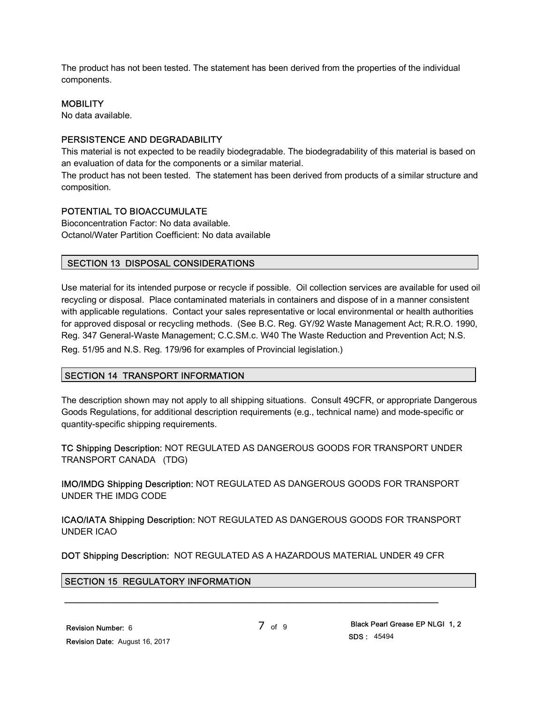The product has not been tested. The statement has been derived from the properties of the individual components.

#### **MOBILITY**

No data available.

#### PERSISTENCE AND DEGRADABILITY

This material is not expected to be readily biodegradable. The biodegradability of this material is based on an evaluation of data for the components or a similar material.

The product has not been tested. The statement has been derived from products of a similar structure and composition.

#### POTENTIAL TO BIOACCUMULATE

Bioconcentration Factor: No data available. Octanol/Water Partition Coefficient: No data available

#### SECTION 13 DISPOSAL CONSIDERATIONS

Use material for its intended purpose or recycle if possible. Oil collection services are available for used oil recycling or disposal. Place contaminated materials in containers and dispose of in a manner consistent with applicable regulations. Contact your sales representative or local environmental or health authorities for approved disposal or recycling methods. (See B.C. Reg. GY/92 Waste Management Act; R.R.O. 1990, Reg. 347 General-Waste Management; C.C.SM.c. W40 The Waste Reduction and Prevention Act; N.S. Reg. 51/95 and N.S. Reg. 179/96 for examples of Provincial legislation.)

#### SECTION 14 TRANSPORT INFORMATION

The description shown may not apply to all shipping situations. Consult 49CFR, or appropriate Dangerous Goods Regulations, for additional description requirements (e.g., technical name) and mode-specific or quantity-specific shipping requirements.

TC Shipping Description: NOT REGULATED AS DANGEROUS GOODS FOR TRANSPORT UNDER TRANSPORT CANADA (TDG)

IMO/IMDG Shipping Description: NOT REGULATED AS DANGEROUS GOODS FOR TRANSPORT UNDER THE IMDG CODE

ICAO/IATA Shipping Description: NOT REGULATED AS DANGEROUS GOODS FOR TRANSPORT UNDER ICAO

DOT Shipping Description: NOT REGULATED AS A HAZARDOUS MATERIAL UNDER 49 CFR

\_\_\_\_\_\_\_\_\_\_\_\_\_\_\_\_\_\_\_\_\_\_\_\_\_\_\_\_\_\_\_\_\_\_\_\_\_\_\_\_\_\_\_\_\_\_\_\_\_\_\_\_\_\_\_\_\_\_\_\_\_\_\_\_\_\_\_\_\_

#### SECTION 15 REGULATORY INFORMATION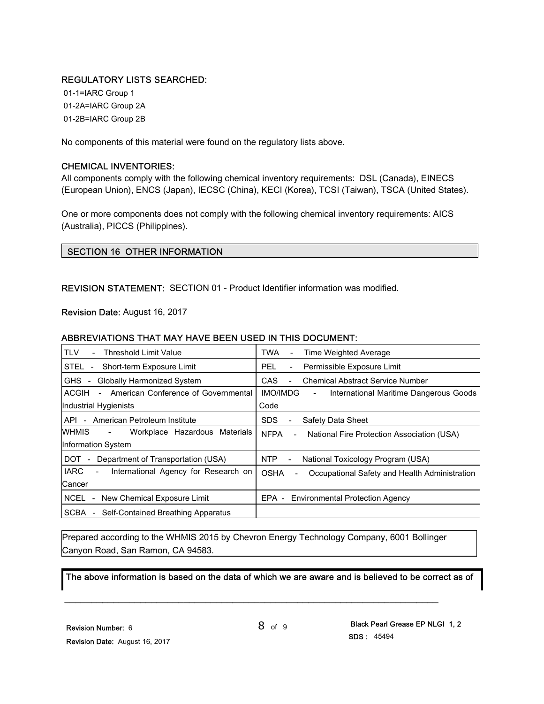# REGULATORY LISTS SEARCHED:

 01-1=IARC Group 1 01-2A=IARC Group 2A 01-2B=IARC Group 2B

No components of this material were found on the regulatory lists above.

#### CHEMICAL INVENTORIES:

All components comply with the following chemical inventory requirements: DSL (Canada), EINECS (European Union), ENCS (Japan), IECSC (China), KECI (Korea), TCSI (Taiwan), TSCA (United States).

One or more components does not comply with the following chemical inventory requirements: AICS (Australia), PICCS (Philippines).

# SECTION 16 OTHER INFORMATION

REVISION STATEMENT: SECTION 01 - Product Identifier information was modified.

Revision Date: August 16, 2017

#### ABBREVIATIONS THAT MAY HAVE BEEN USED IN THIS DOCUMENT:

| <b>TLV</b><br><b>Threshold Limit Value</b><br>$\sim$                            | <b>TWA</b><br>Time Weighted Average                                                      |  |  |
|---------------------------------------------------------------------------------|------------------------------------------------------------------------------------------|--|--|
| STEL -<br>Short-term Exposure Limit                                             | Permissible Exposure Limit<br>PEL.<br>$\blacksquare$                                     |  |  |
| <b>Globally Harmonized System</b><br>GHS -                                      | <b>CAS</b><br><b>Chemical Abstract Service Number</b>                                    |  |  |
| American Conference of Governmental<br>ACGIH<br>$\sim$                          | <b>IMO/IMDG</b><br>International Maritime Dangerous Goods<br>$\blacksquare$              |  |  |
| Industrial Hygienists                                                           | Code                                                                                     |  |  |
| API - American Petroleum Institute                                              | <b>SDS</b><br>Safety Data Sheet                                                          |  |  |
| WHMIS<br>Workplace Hazardous Materials<br>$\sim$                                | <b>NFPA</b><br>National Fire Protection Association (USA)<br>$\overline{\phantom{a}}$    |  |  |
| Information System                                                              |                                                                                          |  |  |
| DOT<br>Department of Transportation (USA)<br>$\sim$                             | NTP<br>National Toxicology Program (USA)<br>$\blacksquare$                               |  |  |
| <b>IARC</b><br>International Agency for Research on<br>$\overline{\phantom{a}}$ | <b>OSHA</b><br>Occupational Safety and Health Administration<br>$\overline{\phantom{0}}$ |  |  |
| Cancer                                                                          |                                                                                          |  |  |
| NCEL<br>- New Chemical Exposure Limit                                           | EPA - Environmental Protection Agency                                                    |  |  |
| SCBA<br>Self-Contained Breathing Apparatus                                      |                                                                                          |  |  |

Prepared according to the WHMIS 2015 by Chevron Energy Technology Company, 6001 Bollinger Canyon Road, San Ramon, CA 94583.

\_\_\_\_\_\_\_\_\_\_\_\_\_\_\_\_\_\_\_\_\_\_\_\_\_\_\_\_\_\_\_\_\_\_\_\_\_\_\_\_\_\_\_\_\_\_\_\_\_\_\_\_\_\_\_\_\_\_\_\_\_\_\_\_\_\_\_\_\_

The above information is based on the data of which we are aware and is believed to be correct as of